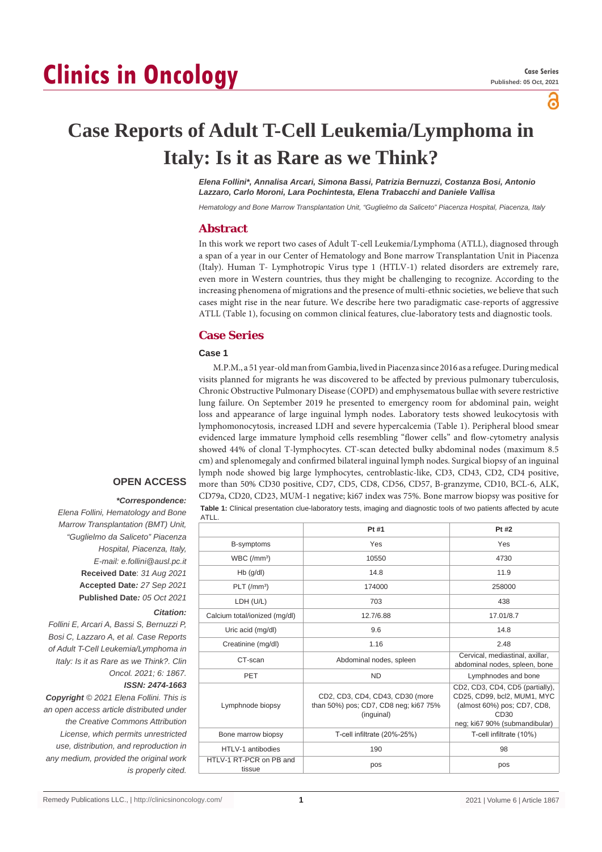# **Clinics in Oncology**

႕

# **Case Reports of Adult T-Cell Leukemia/Lymphoma in Italy: Is it as Rare as we Think?**

*Elena Follini\*, Annalisa Arcari, Simona Bassi, Patrizia Bernuzzi, Costanza Bosi, Antonio Lazzaro, Carlo Moroni, Lara Pochintesta, Elena Trabacchi and Daniele Vallisa*

*Hematology and Bone Marrow Transplantation Unit, "Guglielmo da Saliceto" Piacenza Hospital, Piacenza, Italy*

# **Abstract**

In this work we report two cases of Adult T-cell Leukemia/Lymphoma (ATLL), diagnosed through a span of a year in our Center of Hematology and Bone marrow Transplantation Unit in Piacenza (Italy). Human T- Lymphotropic Virus type 1 (HTLV-1) related disorders are extremely rare, even more in Western countries, thus they might be challenging to recognize. According to the increasing phenomena of migrations and the presence of multi-ethnic societies, we believe that such cases might rise in the near future. We describe here two paradigmatic case-reports of aggressive ATLL (Table 1), focusing on common clinical features, clue-laboratory tests and diagnostic tools.

# **Case Series**

#### **Case 1**

M.P.M., a 51 year-old man from Gambia, lived in Piacenza since 2016 as a refugee. During medical visits planned for migrants he was discovered to be affected by previous pulmonary tuberculosis, Chronic Obstructive Pulmonary Disease (COPD) and emphysematous bullae with severe restrictive lung failure. On September 2019 he presented to emergency room for abdominal pain, weight loss and appearance of large inguinal lymph nodes. Laboratory tests showed leukocytosis with lymphomonocytosis, increased LDH and severe hypercalcemia (Table 1). Peripheral blood smear evidenced large immature lymphoid cells resembling "flower cells" and flow-cytometry analysis showed 44% of clonal T-lymphocytes. CT-scan detected bulky abdominal nodes (maximum 8.5 cm) and splenomegaly and confirmed bilateral inguinal lymph nodes. Surgical biopsy of an inguinal lymph node showed big large lymphocytes, centroblastic-like, CD3, CD43, CD2, CD4 positive, more than 50% CD30 positive, CD7, CD5, CD8, CD56, CD57, B-granzyme, CD10, BCL-6, ALK, CD79a, CD20, CD23, MUM-1 negative; ki67 index was 75%. Bone marrow biopsy was positive for **Table 1:** Clinical presentation clue-laboratory tests, imaging and diagnostic tools of two patients affected by acute

# **OPEN ACCESS**

#### *\*Correspondence:*

*Elena Follini, Hematology and Bone Marrow Transplantation (BMT) Unit, "Guglielmo da Saliceto" Piacenza Hospital, Piacenza, Italy, E-mail: e.follini@ausl.pc.it* **Received Date**: *31 Aug 2021* **Accepted Date***: 27 Sep 2021* **Published Date***: 05 Oct 2021*

#### *Citation:*

*Follini E, Arcari A, Bassi S, Bernuzzi P, Bosi C, Lazzaro A, et al. Case Reports of Adult T-Cell Leukemia/Lymphoma in Italy: Is it as Rare as we Think?. Clin Oncol. 2021; 6: 1867. ISSN: 2474-1663*

*Copyright © 2021 Elena Follini. This is an open access article distributed under the Creative Commons Attribution License, which permits unrestricted use, distribution, and reproduction in any medium, provided the original work is properly cited.*

| ATLL.                             |                                                                                        |                                                                                                                                        |
|-----------------------------------|----------------------------------------------------------------------------------------|----------------------------------------------------------------------------------------------------------------------------------------|
|                                   | Pt #1                                                                                  | Pt #2                                                                                                                                  |
| B-symptoms                        | Yes                                                                                    | Yes                                                                                                                                    |
| WBC/(mm <sup>3</sup> )            | 10550                                                                                  | 4730                                                                                                                                   |
| $Hb$ (g/dl)                       | 14.8                                                                                   | 11.9                                                                                                                                   |
| $PLT$ (/mm <sup>3</sup> )         | 174000                                                                                 | 258000                                                                                                                                 |
| LDH (U/L)                         | 703                                                                                    | 438                                                                                                                                    |
| Calcium total/ionized (mg/dl)     | 12.7/6.88                                                                              | 17.01/8.7                                                                                                                              |
| Uric acid (mg/dl)                 | 9.6                                                                                    | 14.8                                                                                                                                   |
| Creatinine (mg/dl)                | 1.16                                                                                   | 2.48                                                                                                                                   |
| CT-scan                           | Abdominal nodes, spleen                                                                | Cervical, mediastinal, axillar,<br>abdominal nodes, spleen, bone                                                                       |
| PET                               | <b>ND</b>                                                                              | Lymphnodes and bone                                                                                                                    |
| Lymphnode biopsy                  | CD2, CD3, CD4, CD43, CD30 (more<br>than 50%) pos; CD7, CD8 neg; ki67 75%<br>(inguinal) | CD2, CD3, CD4, CD5 (partially),<br>CD25, CD99, bcl2, MUM1, MYC<br>(almost 60%) pos; CD7, CD8,<br>CD30<br>neg; ki67 90% (submandibular) |
| Bone marrow biopsy                | T-cell infiltrate (20%-25%)                                                            | T-cell infiltrate (10%)                                                                                                                |
| HTLV-1 antibodies                 | 190                                                                                    | 98                                                                                                                                     |
| HTLV-1 RT-PCR on PB and<br>tissue | pos                                                                                    | pos                                                                                                                                    |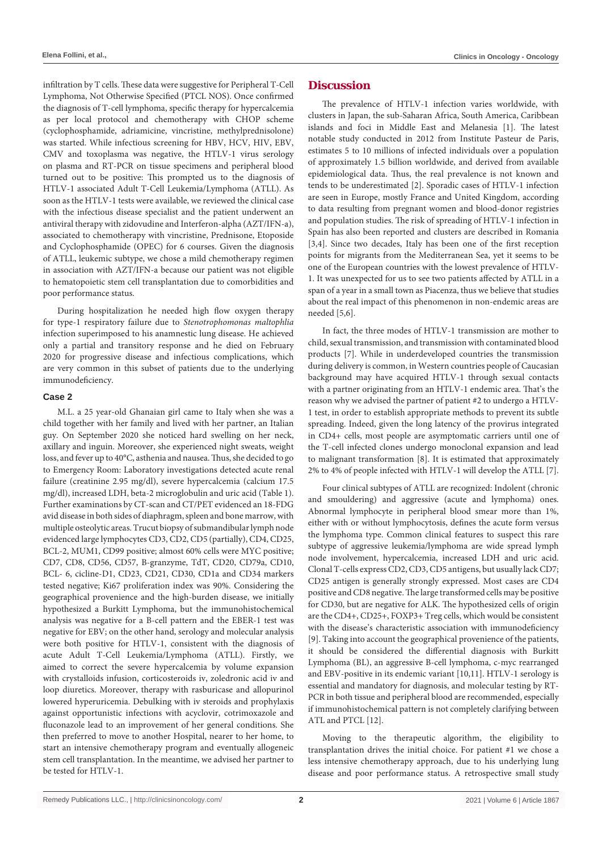infiltration by T cells. These data were suggestive for Peripheral T-Cell Lymphoma, Not Otherwise Specified (PTCL NOS). Once confirmed the diagnosis of T-cell lymphoma, specific therapy for hypercalcemia as per local protocol and chemotherapy with CHOP scheme (cyclophosphamide, adriamicine, vincristine, methylprednisolone) was started. While infectious screening for HBV, HCV, HIV, EBV, CMV and toxoplasma was negative, the HTLV-1 virus serology on plasma and RT-PCR on tissue specimens and peripheral blood turned out to be positive: This prompted us to the diagnosis of HTLV-1 associated Adult T-Cell Leukemia/Lymphoma (ATLL). As soon as the HTLV-1 tests were available, we reviewed the clinical case with the infectious disease specialist and the patient underwent an antiviral therapy with zidovudine and Interferon-alpha (AZT/IFN-a), associated to chemotherapy with vincristine, Prednisone, Etoposide and Cyclophosphamide (OPEC) for 6 courses. Given the diagnosis of ATLL, leukemic subtype, we chose a mild chemotherapy regimen in association with AZT/IFN-a because our patient was not eligible to hematopoietic stem cell transplantation due to comorbidities and poor performance status.

During hospitalization he needed high flow oxygen therapy for type-1 respiratory failure due to *Stenotrophomonas maltophlia* infection superimposed to his anamnestic lung disease. He achieved only a partial and transitory response and he died on February 2020 for progressive disease and infectious complications, which are very common in this subset of patients due to the underlying immunodeficiency.

#### **Case 2**

M.L. a 25 year-old Ghanaian girl came to Italy when she was a child together with her family and lived with her partner, an Italian guy. On September 2020 she noticed hard swelling on her neck, axillary and inguin. Moreover, she experienced night sweats, weight loss, and fever up to 40°C, asthenia and nausea. Thus, she decided to go to Emergency Room: Laboratory investigations detected acute renal failure (creatinine 2.95 mg/dl), severe hypercalcemia (calcium 17.5 mg/dl), increased LDH, beta-2 microglobulin and uric acid (Table 1). Further examinations by CT-scan and CT/PET evidenced an 18-FDG avid disease in both sides of diaphragm, spleen and bone marrow, with multiple osteolytic areas. Trucut biopsy of submandibular lymph node evidenced large lymphocytes CD3, CD2, CD5 (partially), CD4, CD25, BCL-2, MUM1, CD99 positive; almost 60% cells were MYC positive; CD7, CD8, CD56, CD57, B-granzyme, TdT, CD20, CD79a, CD10, BCL- 6, cicline-D1, CD23, CD21, CD30, CD1a and CD34 markers tested negative; Ki67 proliferation index was 90%. Considering the geographical provenience and the high-burden disease, we initially hypothesized a Burkitt Lymphoma, but the immunohistochemical analysis was negative for a B-cell pattern and the EBER-1 test was negative for EBV; on the other hand, serology and molecular analysis were both positive for HTLV-1, consistent with the diagnosis of acute Adult T-Cell Leukemia/Lymphoma (ATLL). Firstly, we aimed to correct the severe hypercalcemia by volume expansion with crystalloids infusion, corticosteroids iv, zoledronic acid iv and loop diuretics. Moreover, therapy with rasburicase and allopurinol lowered hyperuricemia. Debulking with iv steroids and prophylaxis against opportunistic infections with acyclovir, cotrimoxazole and fluconazole lead to an improvement of her general conditions. She then preferred to move to another Hospital, nearer to her home, to start an intensive chemotherapy program and eventually allogeneic stem cell transplantation. In the meantime, we advised her partner to be tested for HTLV-1.

# **Discussion**

The prevalence of HTLV-1 infection varies worldwide, with clusters in Japan, the sub-Saharan Africa, South America, Caribbean islands and foci in Middle East and Melanesia [1]. The latest notable study conducted in 2012 from Institute Pasteur de Paris, estimates 5 to 10 millions of infected individuals over a population of approximately 1.5 billion worldwide, and derived from available epidemiological data. Thus, the real prevalence is not known and tends to be underestimated [2]. Sporadic cases of HTLV-1 infection are seen in Europe, mostly France and United Kingdom, according to data resulting from pregnant women and blood-donor registries and population studies. The risk of spreading of HTLV-1 infection in Spain has also been reported and clusters are described in Romania [3,4]. Since two decades, Italy has been one of the first reception points for migrants from the Mediterranean Sea, yet it seems to be one of the European countries with the lowest prevalence of HTLV-1. It was unexpected for us to see two patients affected by ATLL in a span of a year in a small town as Piacenza, thus we believe that studies about the real impact of this phenomenon in non-endemic areas are needed [5,6].

In fact, the three modes of HTLV-1 transmission are mother to child, sexual transmission, and transmission with contaminated blood products [7]. While in underdeveloped countries the transmission during delivery is common, in Western countries people of Caucasian background may have acquired HTLV-1 through sexual contacts with a partner originating from an HTLV-1 endemic area. That's the reason why we advised the partner of patient #2 to undergo a HTLV-1 test, in order to establish appropriate methods to prevent its subtle spreading. Indeed, given the long latency of the provirus integrated in CD4+ cells, most people are asymptomatic carriers until one of the T-cell infected clones undergo monoclonal expansion and lead to malignant transformation [8]. It is estimated that approximately 2% to 4% of people infected with HTLV-1 will develop the ATLL [7].

Four clinical subtypes of ATLL are recognized: Indolent (chronic and smouldering) and aggressive (acute and lymphoma) ones. Abnormal lymphocyte in peripheral blood smear more than 1%, either with or without lymphocytosis, defines the acute form versus the lymphoma type. Common clinical features to suspect this rare subtype of aggressive leukemia/lymphoma are wide spread lymph node involvement, hypercalcemia, increased LDH and uric acid. Clonal T-cells express CD2, CD3, CD5 antigens, but usually lack CD7; CD25 antigen is generally strongly expressed. Most cases are CD4 positive and CD8 negative. The large transformed cells may be positive for CD30, but are negative for ALK. The hypothesized cells of origin are the CD4+, CD25+, FOXP3+ Treg cells, which would be consistent with the disease's characteristic association with immunodeficiency [9]. Taking into account the geographical provenience of the patients, it should be considered the differential diagnosis with Burkitt Lymphoma (BL), an aggressive B-cell lymphoma, c-myc rearranged and EBV-positive in its endemic variant [10,11]. HTLV-1 serology is essential and mandatory for diagnosis, and molecular testing by RT-PCR in both tissue and peripheral blood are recommended, especially if immunohistochemical pattern is not completely clarifying between ATL and PTCL [12].

Moving to the therapeutic algorithm, the eligibility to transplantation drives the initial choice. For patient #1 we chose a less intensive chemotherapy approach, due to his underlying lung disease and poor performance status. A retrospective small study